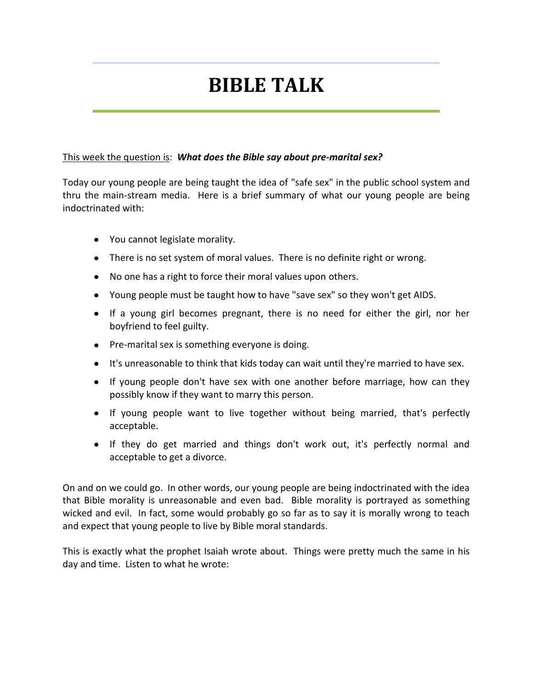# **BIBLE TALK**

#### This week the question is: *What does the Bible say about pre-marital sex?*

Today our young people are being taught the idea of "safe sex" in the public school system and thru the main-stream media. Here is a brief summary of what our young people are being indoctrinated with:

- You cannot legislate morality.
- There is no set system of moral values. There is no definite right or wrong.
- No one has a right to force their moral values upon others.
- Young people must be taught how to have "save sex" so they won't get AIDS.
- If a young girl becomes pregnant, there is no need for either the girl, nor her boyfriend to feel guilty.
- Pre-marital sex is something everyone is doing.
- It's unreasonable to think that kids today can wait until they're married to have sex.
- If young people don't have sex with one another before marriage, how can they possibly know if they want to marry this person.
- If young people want to live together without being married, that's perfectly acceptable.
- If they do get married and things don't work out, it's perfectly normal and acceptable to get a divorce.

On and on we could go. In other words, our young people are being indoctrinated with the idea that Bible morality is unreasonable and even bad. Bible morality is portrayed as something wicked and evil. In fact, some would probably go so far as to say it is morally wrong to teach and expect that young people to live by Bible moral standards.

This is exactly what the prophet Isaiah wrote about. Things were pretty much the same in his day and time. Listen to what he wrote: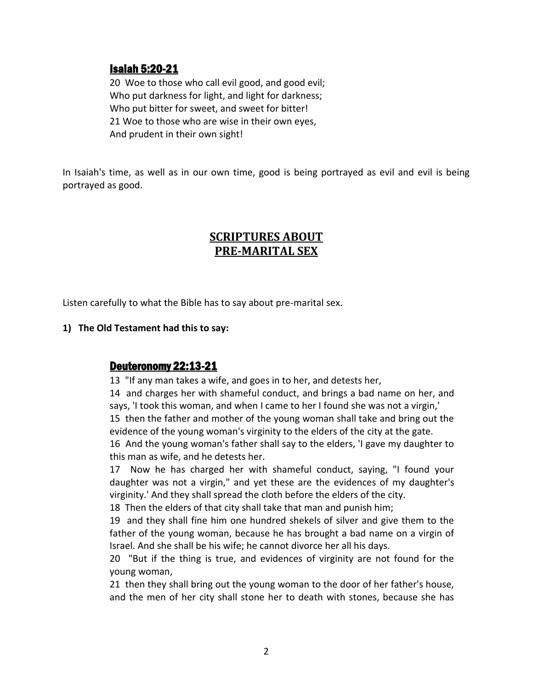# Isaiah 5:20-21

20 Woe to those who call evil good, and good evil; Who put darkness for light, and light for darkness; Who put bitter for sweet, and sweet for bitter! 21 Woe to those who are wise in their own eyes, And prudent in their own sight!

In Isaiah's time, as well as in our own time, good is being portrayed as evil and evil is being portrayed as good.

# **SCRIPTURES ABOUT PRE-MARITAL SEX**

Listen carefully to what the Bible has to say about pre-marital sex.

#### **1) The Old Testament had this to say:**

#### Deuteronomy 22:13-21

13 "If any man takes a wife, and goes in to her, and detests her,

14 and charges her with shameful conduct, and brings a bad name on her, and says, 'I took this woman, and when I came to her I found she was not a virgin,'

15 then the father and mother of the young woman shall take and bring out the evidence of the young woman's virginity to the elders of the city at the gate.

16 And the young woman's father shall say to the elders, 'I gave my daughter to this man as wife, and he detests her.

17 Now he has charged her with shameful conduct, saying, "I found your daughter was not a virgin," and yet these are the evidences of my daughter's virginity.' And they shall spread the cloth before the elders of the city.

18 Then the elders of that city shall take that man and punish him;

19 and they shall fine him one hundred shekels of silver and give them to the father of the young woman, because he has brought a bad name on a virgin of Israel. And she shall be his wife; he cannot divorce her all his days.

20 "But if the thing is true, and evidences of virginity are not found for the young woman,

21 then they shall bring out the young woman to the door of her father's house, and the men of her city shall stone her to death with stones, because she has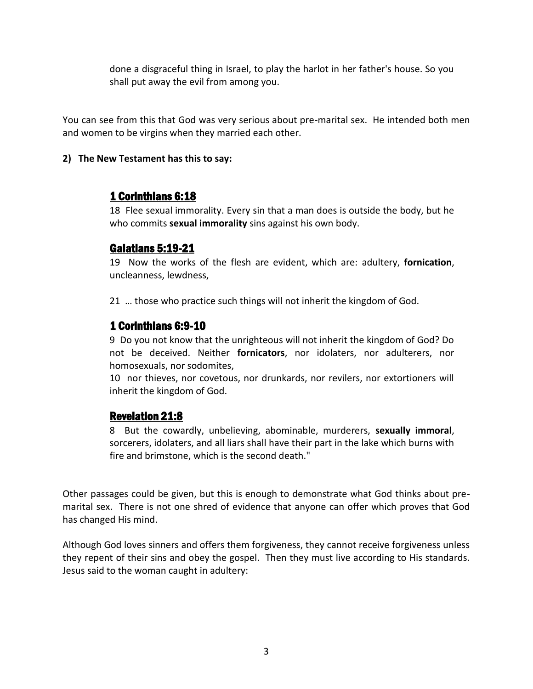done a disgraceful thing in Israel, to play the harlot in her father's house. So you shall put away the evil from among you.

You can see from this that God was very serious about pre-marital sex. He intended both men and women to be virgins when they married each other.

#### **2) The New Testament has this to say:**

# 1 Corinthians 6:18

18 Flee sexual immorality. Every sin that a man does is outside the body, but he who commits **sexual immorality** sins against his own body.

# Galatians 5:19-21

19 Now the works of the flesh are evident, which are: adultery, **fornication**, uncleanness, lewdness,

21 … those who practice such things will not inherit the kingdom of God.

# 1 Corinthians 6:9-10

9 Do you not know that the unrighteous will not inherit the kingdom of God? Do not be deceived. Neither **fornicators**, nor idolaters, nor adulterers, nor homosexuals, nor sodomites,

10 nor thieves, nor covetous, nor drunkards, nor revilers, nor extortioners will inherit the kingdom of God.

# Revelation 21:8

8 But the cowardly, unbelieving, abominable, murderers, **sexually immoral**, sorcerers, idolaters, and all liars shall have their part in the lake which burns with fire and brimstone, which is the second death."

Other passages could be given, but this is enough to demonstrate what God thinks about premarital sex. There is not one shred of evidence that anyone can offer which proves that God has changed His mind.

Although God loves sinners and offers them forgiveness, they cannot receive forgiveness unless they repent of their sins and obey the gospel. Then they must live according to His standards. Jesus said to the woman caught in adultery: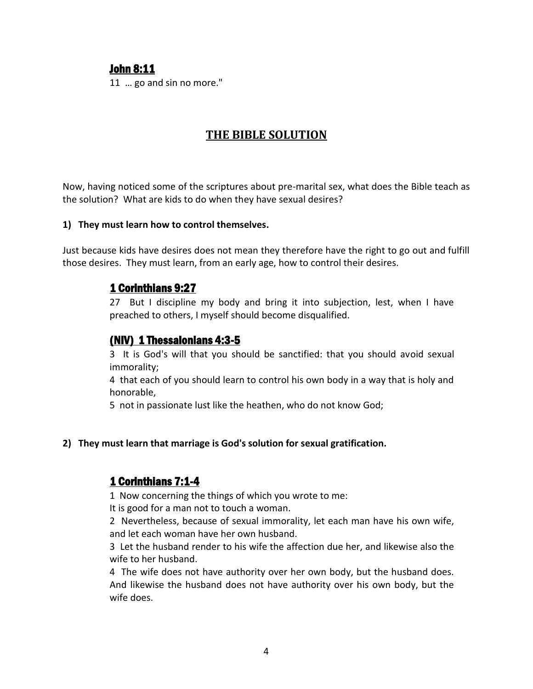### John 8:11

11 … go and sin no more."

# **THE BIBLE SOLUTION**

Now, having noticed some of the scriptures about pre-marital sex, what does the Bible teach as the solution? What are kids to do when they have sexual desires?

#### **1) They must learn how to control themselves.**

Just because kids have desires does not mean they therefore have the right to go out and fulfill those desires. They must learn, from an early age, how to control their desires.

### 1 Corinthians 9:27

27 But I discipline my body and bring it into subjection, lest, when I have preached to others, I myself should become disqualified.

# (NIV) 1 Thessalonians 4:3-5

3 It is God's will that you should be sanctified: that you should avoid sexual immorality;

4 that each of you should learn to control his own body in a way that is holy and honorable,

5 not in passionate lust like the heathen, who do not know God;

#### **2) They must learn that marriage is God's solution for sexual gratification.**

#### 1 Corinthians 7:1-4

1 Now concerning the things of which you wrote to me:

It is good for a man not to touch a woman.

2 Nevertheless, because of sexual immorality, let each man have his own wife, and let each woman have her own husband.

3 Let the husband render to his wife the affection due her, and likewise also the wife to her husband.

4 The wife does not have authority over her own body, but the husband does. And likewise the husband does not have authority over his own body, but the wife does.